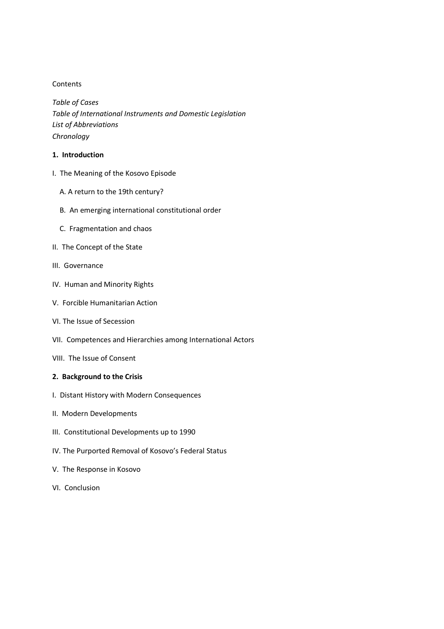# Contents

*Table of Cases Table of International Instruments and Domestic Legislation List of Abbreviations Chronology* 

# **1. Introduction**

- I. The Meaning of the Kosovo Episode
	- A. A return to the 19th century?
	- B. An emerging international constitutional order
	- C. Fragmentation and chaos
- II. The Concept of the State
- III. Governance
- IV. Human and Minority Rights
- V. Forcible Humanitarian Action
- VI. The Issue of Secession
- VII. Competences and Hierarchies among International Actors
- VIII. The Issue of Consent

#### **2. Background to the Crisis**

- I. Distant History with Modern Consequences
- II. Modern Developments
- III. Constitutional Developments up to 1990
- IV. The Purported Removal of Kosovo's Federal Status
- V. The Response in Kosovo
- VI. Conclusion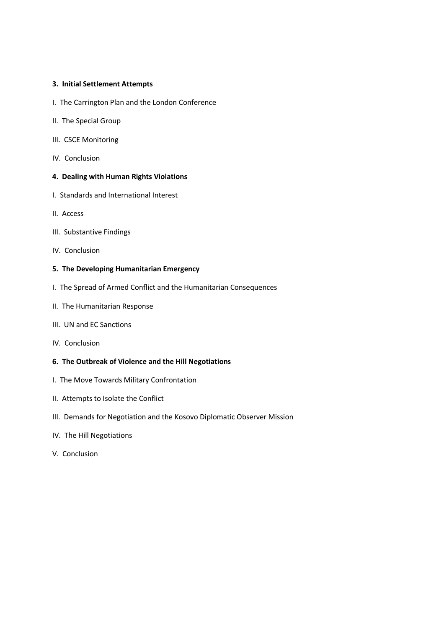### **3. Initial Settlement Attempts**

- I. The Carrington Plan and the London Conference
- II. The Special Group
- III. CSCE Monitoring
- IV. Conclusion

### **4. Dealing with Human Rights Violations**

- I. Standards and International Interest
- II. Access
- III. Substantive Findings
- IV. Conclusion

# **5. The Developing Humanitarian Emergency**

- I. The Spread of Armed Conflict and the Humanitarian Consequences
- II. The Humanitarian Response
- III. UN and EC Sanctions
- IV. Conclusion
- **6. The Outbreak of Violence and the Hill Negotiations**
- I. The Move Towards Military Confrontation
- II. Attempts to Isolate the Conflict
- III. Demands for Negotiation and the Kosovo Diplomatic Observer Mission
- IV. The Hill Negotiations
- V. Conclusion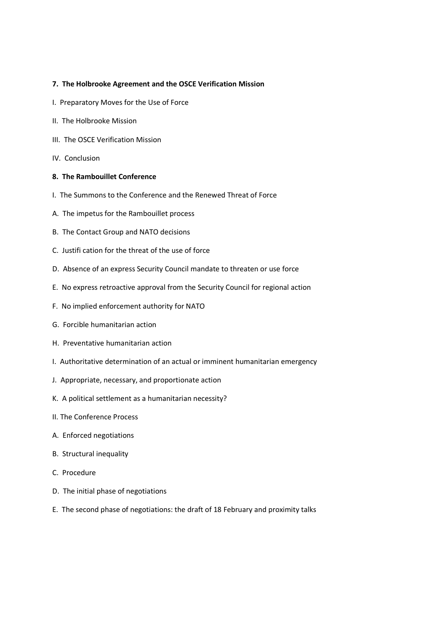#### **7. The Holbrooke Agreement and the OSCE Verification Mission**

- I. Preparatory Moves for the Use of Force
- II. The Holbrooke Mission
- III. The OSCE Verification Mission
- IV. Conclusion

#### **8. The Rambouillet Conference**

- I. The Summons to the Conference and the Renewed Threat of Force
- A. The impetus for the Rambouillet process
- B. The Contact Group and NATO decisions
- C. Justifi cation for the threat of the use of force
- D. Absence of an express Security Council mandate to threaten or use force
- E. No express retroactive approval from the Security Council for regional action
- F. No implied enforcement authority for NATO
- G. Forcible humanitarian action
- H. Preventative humanitarian action
- I. Authoritative determination of an actual or imminent humanitarian emergency
- J. Appropriate, necessary, and proportionate action
- K. A political settlement as a humanitarian necessity?
- II. The Conference Process
- A. Enforced negotiations
- B. Structural inequality
- C. Procedure
- D. The initial phase of negotiations
- E. The second phase of negotiations: the draft of 18 February and proximity talks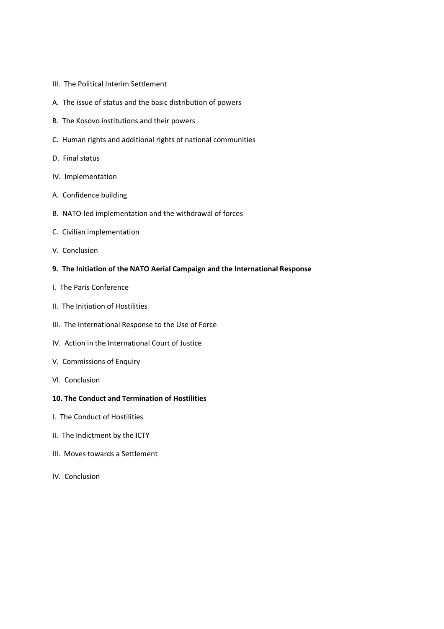- III. The Political Interim Settlement
- A. The issue of status and the basic distribution of powers
- B. The Kosovo institutions and their powers
- C. Human rights and additional rights of national communities
- D. Final status
- IV. Implementation
- A. Confidence building
- B. NATO-led implementation and the withdrawal of forces
- C. Civilian implementation
- V. Conclusion

# **9. The Initiation of the NATO Aerial Campaign and the International Response**

- I. The Paris Conference
- II. The Initiation of Hostilities
- III. The International Response to the Use of Force
- IV. Action in the International Court of Justice
- V. Commissions of Enquiry
- VI. Conclusion

# **10. The Conduct and Termination of Hostilities**

- I. The Conduct of Hostilities
- II. The Indictment by the ICTY
- III. Moves towards a Settlement
- IV. Conclusion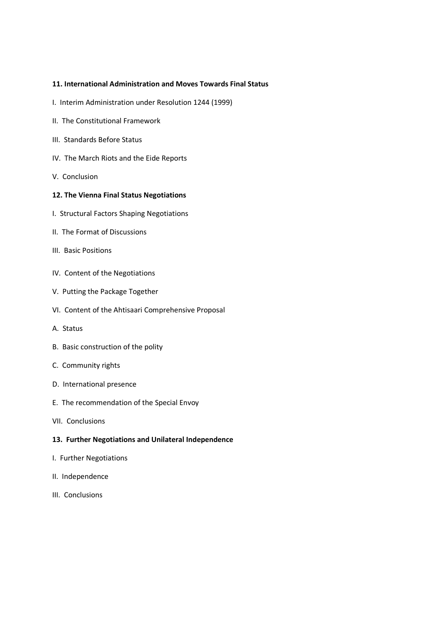#### **11. International Administration and Moves Towards Final Status**

- I. Interim Administration under Resolution 1244 (1999)
- II. The Constitutional Framework
- III. Standards Before Status
- IV. The March Riots and the Eide Reports
- V. Conclusion

#### **12. The Vienna Final Status Negotiations**

- I. Structural Factors Shaping Negotiations
- II. The Format of Discussions
- III. Basic Positions
- IV. Content of the Negotiations
- V. Putting the Package Together
- VI. Content of the Ahtisaari Comprehensive Proposal
- A. Status
- B. Basic construction of the polity
- C. Community rights
- D. International presence
- E. The recommendation of the Special Envoy
- VII. Conclusions

# **13. Further Negotiations and Unilateral Independence**

- I. Further Negotiations
- II. Independence
- III. Conclusions